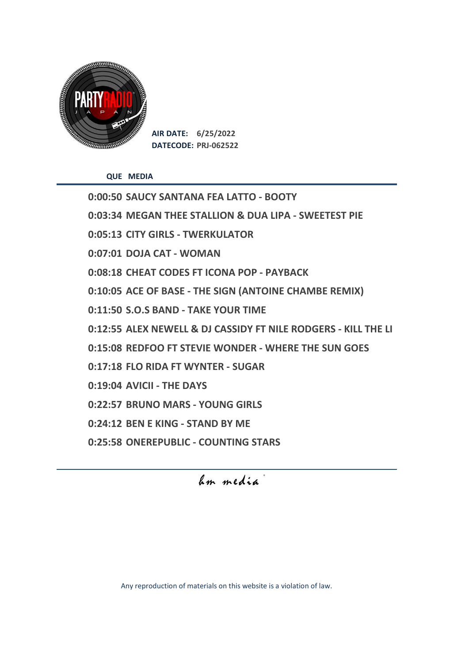

**AIR DATE: 6/25/2022 DATECODE: PRJ-062522**

**QUE MEDIA**

**0:00:50 SAUCY SANTANA FEA LATTO - BOOTY 0:03:34 MEGAN THEE STALLION & DUA LIPA - SWEETEST PIE 0:05:13 CITY GIRLS - TWERKULATOR 0:07:01 DOJA CAT - WOMAN 0:08:18 CHEAT CODES FT ICONA POP - PAYBACK 0:10:05 ACE OF BASE - THE SIGN (ANTOINE CHAMBE REMIX) 0:11:50 S.O.S BAND - TAKE YOUR TIME 0:12:55 ALEX NEWELL & DJ CASSIDY FT NILE RODGERS - KILL THE LI 0:15:08 REDFOO FT STEVIE WONDER - WHERE THE SUN GOES 0:17:18 FLO RIDA FT WYNTER - SUGAR 0:19:04 AVICII - THE DAYS 0:22:57 BRUNO MARS - YOUNG GIRLS 0:24:12 BEN E KING - STAND BY ME 0:25:58 ONEREPUBLIC - COUNTING STARS**

hm media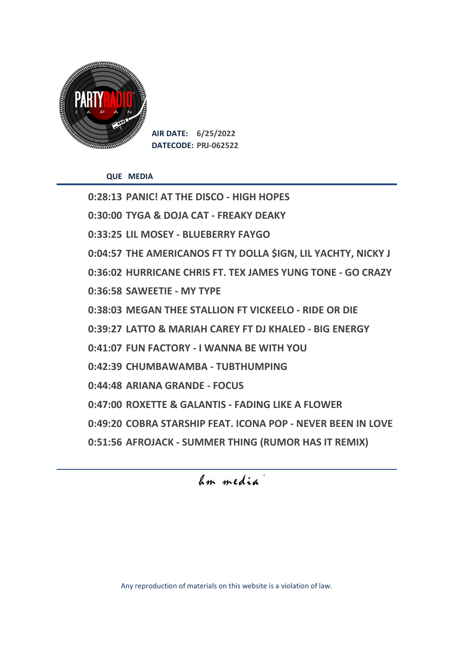

**AIR DATE: 6/25/2022 DATECODE: PRJ-062522**

**QUE MEDIA**

**0:28:13 PANIC! AT THE DISCO - HIGH HOPES 0:30:00 TYGA & DOJA CAT - FREAKY DEAKY 0:33:25 LIL MOSEY - BLUEBERRY FAYGO 0:04:57 THE AMERICANOS FT TY DOLLA \$IGN, LIL YACHTY, NICKY J 0:36:02 HURRICANE CHRIS FT. TEX JAMES YUNG TONE - GO CRAZY 0:36:58 SAWEETIE - MY TYPE 0:38:03 MEGAN THEE STALLION FT VICKEELO - RIDE OR DIE 0:39:27 LATTO & MARIAH CAREY FT DJ KHALED - BIG ENERGY 0:41:07 FUN FACTORY - I WANNA BE WITH YOU 0:42:39 CHUMBAWAMBA - TUBTHUMPING 0:44:48 ARIANA GRANDE - FOCUS 0:47:00 ROXETTE & GALANTIS - FADING LIKE A FLOWER 0:49:20 COBRA STARSHIP FEAT. ICONA POP - NEVER BEEN IN LOVE 0:51:56 AFROJACK - SUMMER THING (RUMOR HAS IT REMIX)** 

## hm media